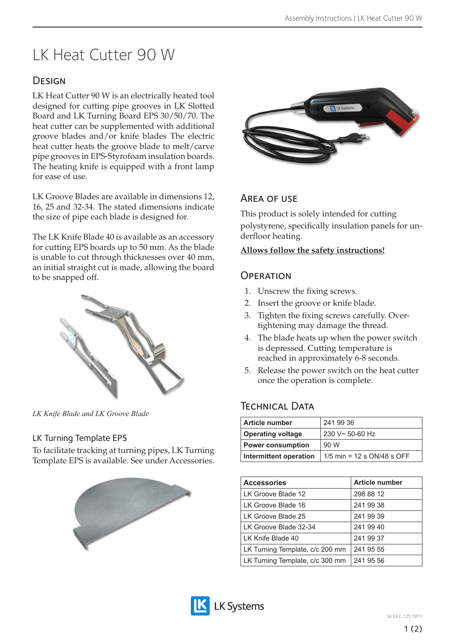# LK Heat Cutter 90 W

# **DESIGN**

LK Heat Cutter 90 W is an electrically heated tool designed for cutting pipe grooves in LK Slotted Board and LK Turning Board EPS 30/50/70. The heat cutter can be supplemented with additional groove blades and/or knife blades The electric heat cutter heats the groove blade to melt/carve pipe grooves in EPS-Styrofoam insulation boards. The heating knife is equipped with a front lamp for ease of use.

LK Groove Blades are available in dimensions 12, 16, 25 and 32-34. The stated dimensions indicate the size of pipe each blade is designed for.

The LK Knife Blade 40 is available as an accessory for cutting EPS boards up to 50 mm. As the blade is unable to cut through thicknesses over 40 mm, an initial straight cut is made, allowing the board to be snapped off.



*LK Knife Blade and LK Groove Blade*

#### LK Turning Template EPS

To facilitate tracking at turning pipes, LK Turning Template EPS is available. See under Accessories.





## Area of use

This product is solely intended for cutting polystyrene, specifically insulation panels for underfloor heating.

#### **Allows follow the safety instructions!**

#### **OPERATION**

- 1. Unscrew the fixing screws.
- 2. Insert the groove or knife blade.
- 3. Tighten the fixing screws carefully. Overtightening may damage the thread.
- 4. The blade heats up when the power switch is depressed. Cutting temperature is reached in approximately 6-8 seconds.
- 5. Release the power switch on the heat cutter once the operation is complete.

# Technical Data

| Article number           | 241 99 36                    |
|--------------------------|------------------------------|
| <b>Operating voltage</b> | $230 V - 50 - 60 Hz$         |
| <b>Power consumption</b> | 90 W                         |
| Intermittent operation   | 1/5 min = 12 s $ON/48$ s OFF |

| <b>Accessories</b>              | <b>Article number</b> |
|---------------------------------|-----------------------|
| LK Groove Blade 12              | 298 88 12             |
| LK Groove Blade 16              | 241 99 38             |
| LK Groove Blade 25              | 241 99 39             |
| LK Groove Blade 32-34           | 241 99 40             |
| LK Knife Blade 40               | 241 99 37             |
| LK Turning Template, c/c 200 mm | 241 95 55             |
| LK Turning Template, c/c 300 mm | 241 95 56             |